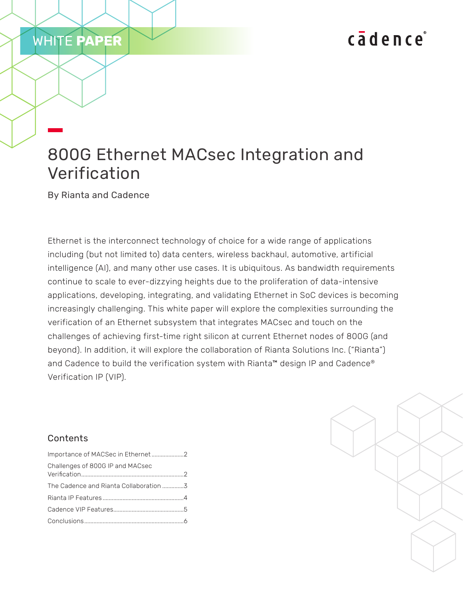# cadence

# 800G Ethernet MACsec Integration and Verification

By Rianta and Cadence

WHITE **PAPER**

Ethernet is the interconnect technology of choice for a wide range of applications including (but not limited to) data centers, wireless backhaul, automotive, artificial intelligence (AI), and many other use cases. It is ubiquitous. As bandwidth requirements continue to scale to ever-dizzying heights due to the proliferation of data-intensive applications, developing, integrating, and validating Ethernet in SoC devices is becoming increasingly challenging. This white paper will explore the complexities surrounding the verification of an Ethernet subsystem that integrates MACsec and touch on the challenges of achieving first-time right silicon at current Ethernet nodes of 800G (and beyond). In addition, it will explore the collaboration of Rianta Solutions Inc. ("Rianta") and Cadence to build the verification system with Rianta™ design IP and Cadence® Verification IP (VIP).

## Contents

| Importance of MACSec in Ethernet2 |  |
|-----------------------------------|--|
| Challenges of 800G IP and MACsec  |  |
|                                   |  |
|                                   |  |
|                                   |  |
|                                   |  |

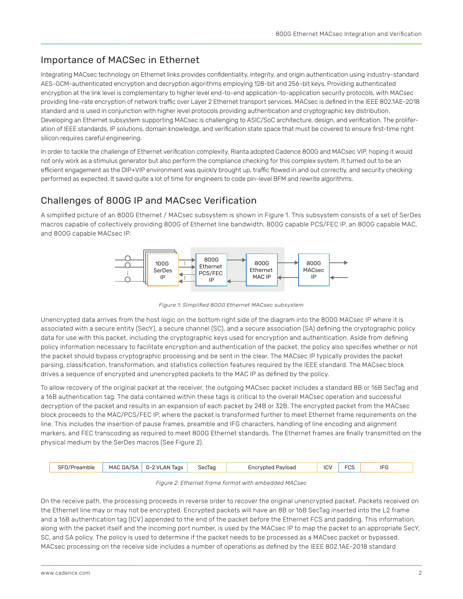## <span id="page-1-0"></span>Importance of MACSec in Ethernet

Integrating MACsec technology on Ethernet links provides confidentiality, integrity, and origin authentication using industry-standard AES-GCM-authenticated encryption and decryption algorithms employing 128-bit and 256-bit keys. Providing authenticated encryption at the link level is complementary to higher level end-to-end application-to-application security protocols, with MACsec providing line-rate encryption of network traffic over Layer 2 Ethernet transport services. MACsec is defined in the IEEE 802.1AE-2018 standard and is used in conjunction with higher level protocols providing authentication and cryptographic key distribution. Developing an Ethernet subsystem supporting MACsec is challenging to ASIC/SoC architecture, design, and verification. The proliferation of IEEE standards, IP solutions, domain knowledge, and verification state space that must be covered to ensure first-time right silicon requires careful engineering.

In order to tackle the challenge of Ethernet verification complexity, Rianta adopted Cadence 800G and MACsec VIP, hoping it would not only work as a stimulus generator but also perform the compliance checking for this complex system. It turned out to be an efficient engagement as the DIP+VIP environment was quickly brought up, traffic flowed in and out correctly, and security checking performed as expected. It saved quite a lot of time for engineers to code pin-level BFM and rewrite algorithms.

## Challenges of 800G IP and MACsec Verification

A simplified picture of an 800G Ethernet / MACsec subsystem is shown in Figure 1. This subsystem consists of a set of SerDes macros capable of collectively providing 800G of Ethernet line bandwidth, 800G capable PCS/FEC IP, an 800G capable MAC, and 800G capable MACsec IP.



*Figure 1: Simplified 800G Ethernet MACsec subsystem*

Unencrypted data arrives from the host logic on the bottom right side of the diagram into the 800G MACsec IP where it is associated with a secure entity (SecY), a secure channel (SC), and a secure association (SA) defining the cryptographic policy data for use with this packet, including the cryptographic keys used for encryption and authentication. Aside from defining policy information necessary to facilitate encryption and authentication of the packet, the policy also specifies whether or not the packet should bypass cryptographic processing and be sent in the clear. The MACsec IP typically provides the packet parsing, classification, transformation, and statistics collection features required by the IEEE standard. The MACsec block drives a sequence of encrypted and unencrypted packets to the MAC IP as defined by the policy.

To allow recovery of the original packet at the receiver, the outgoing MACsec packet includes a standard 8B or 16B SecTag and a 16B authentication tag. The data contained within these tags is critical to the overall MACsec operation and successful decryption of the packet and results in an expansion of each packet by 24B or 32B. The encrypted packet from the MACsec block proceeds to the MAC/PCS/FEC IP, where the packet is transformed further to meet Ethernet frame requirements on the line. This includes the insertion of pause frames, preamble and IFG characters, handling of line encoding and alignment markers, and FEC transcoding as required to meet 800G Ethernet standards. The Ethernet frames are finally transmitted on the physical medium by the SerDes macros (See Figure 2).

| $\sim$ $-1$<br>reamble | MAC<br>7. S∆<br>Δ۱<br>__ | 0-2 VLAN<br>Tags<br>the contract of the contract of the contract of<br>$\cdot$ | seclan<br>יאר<br>----- | Payload | $\sim$<br>the contract of the contract of | $-\infty$<br>ັບບ |  |
|------------------------|--------------------------|--------------------------------------------------------------------------------|------------------------|---------|-------------------------------------------|------------------|--|
|                        |                          |                                                                                |                        |         |                                           |                  |  |

#### *Figure 2: Ethernet frame format with embedded MACsec*

On the receive path, the processing proceeds in reverse order to recover the original unencrypted packet. Packets received on the Ethernet line may or may not be encrypted. Encrypted packets will have an 8B or 16B SecTag inserted into the L2 frame and a 16B authentication tag (ICV) appended to the end of the packet before the Ethernet FCS and padding. This information, along with the packet itself and the incoming port number, is used by the MACsec IP to map the packet to an appropriate SecY, SC, and SA policy. The policy is used to determine if the packet needs to be processed as a MACsec packet or bypassed. MACsec processing on the receive side includes a number of operations as defined by the IEEE 802.1AE-2018 standard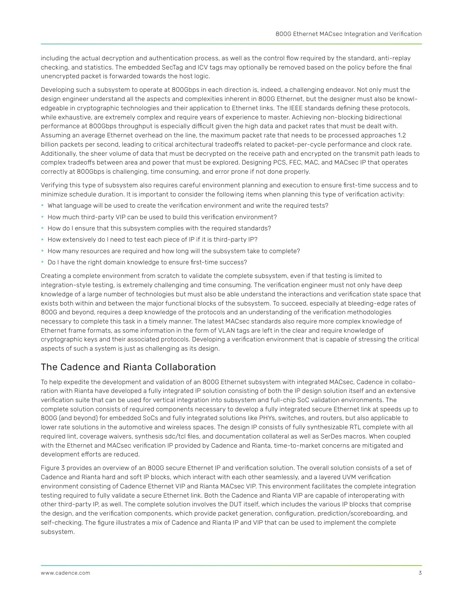<span id="page-2-0"></span>including the actual decryption and authentication process, as well as the control flow required by the standard, anti-replay checking, and statistics. The embedded SecTag and ICV tags may optionally be removed based on the policy before the final unencrypted packet is forwarded towards the host logic.

Developing such a subsystem to operate at 800Gbps in each direction is, indeed, a challenging endeavor. Not only must the design engineer understand all the aspects and complexities inherent in 800G Ethernet, but the designer must also be knowledgeable in cryptographic technologies and their application to Ethernet links. The IEEE standards defining these protocols, while exhaustive, are extremely complex and require years of experience to master. Achieving non-blocking bidirectional performance at 800Gbps throughput is especially difficult given the high data and packet rates that must be dealt with. Assuming an average Ethernet overhead on the line, the maximum packet rate that needs to be processed approaches 1.2 billion packets per second, leading to critical architectural tradeoffs related to packet-per-cycle performance and clock rate. Additionally, the sheer volume of data that must be decrypted on the receive path and encrypted on the transmit path leads to complex tradeoffs between area and power that must be explored. Designing PCS, FEC, MAC, and MACsec IP that operates correctly at 800Gbps is challenging, time consuming, and error prone if not done properly.

Verifying this type of subsystem also requires careful environment planning and execution to ensure first-time success and to minimize schedule duration. It is important to consider the following items when planning this type of verification activity:

- $\blacktriangleright$  What language will be used to create the verification environment and write the required tests?
- $\blacktriangleright$  How much third-party VIP can be used to build this verification environment?
- $\blacktriangleright$  How do I ensure that this subsystem complies with the required standards?
- $\blacktriangleright$  How extensively do I need to test each piece of IP if it is third-party IP?
- $\blacktriangleright$  How many resources are required and how long will the subsystem take to complete?
- **Do I have the right domain knowledge to ensure first-time success?**

Creating a complete environment from scratch to validate the complete subsystem, even if that testing is limited to integration-style testing, is extremely challenging and time consuming. The verification engineer must not only have deep knowledge of a large number of technologies but must also be able understand the interactions and verification state space that exists both within and between the major functional blocks of the subsystem. To succeed, especially at bleeding-edge rates of 800G and beyond, requires a deep knowledge of the protocols and an understanding of the verification methodologies necessary to complete this task in a timely manner. The latest MACsec standards also require more complex knowledge of Ethernet frame formats, as some information in the form of VLAN tags are left in the clear and require knowledge of cryptographic keys and their associated protocols. Developing a verification environment that is capable of stressing the critical aspects of such a system is just as challenging as its design.

## The Cadence and Rianta Collaboration

To help expedite the development and validation of an 800G Ethernet subsystem with integrated MACsec, Cadence in collaboration with Rianta have developed a fully integrated IP solution consisting of both the IP design solution itself and an extensive verification suite that can be used for vertical integration into subsystem and full-chip SoC validation environments. The complete solution consists of required components necessary to develop a fully integrated secure Ethernet link at speeds up to 800G (and beyond) for embedded SoCs and fully integrated solutions like PHYs, switches, and routers, but also applicable to lower rate solutions in the automotive and wireless spaces. The design IP consists of fully synthesizable RTL complete with all required lint, coverage waivers, synthesis sdc/tcl files, and documentation collateral as well as SerDes macros. When coupled with the Ethernet and MACsec verification IP provided by Cadence and Rianta, time-to-market concerns are mitigated and development efforts are reduced.

Figure 3 provides an overview of an 800G secure Ethernet IP and verification solution. The overall solution consists of a set of Cadence and Rianta hard and soft IP blocks, which interact with each other seamlessly, and a layered UVM verification environment consisting of Cadence Ethernet VIP and Rianta MACsec VIP. This environment facilitates the complete integration testing required to fully validate a secure Ethernet link. Both the Cadence and Rianta VIP are capable of interoperating with other third-party IP, as well. The complete solution involves the DUT itself, which includes the various IP blocks that comprise the design, and the verification components, which provide packet generation, configuration, prediction/scoreboarding, and self-checking. The figure illustrates a mix of Cadence and Rianta IP and VIP that can be used to implement the complete subsystem.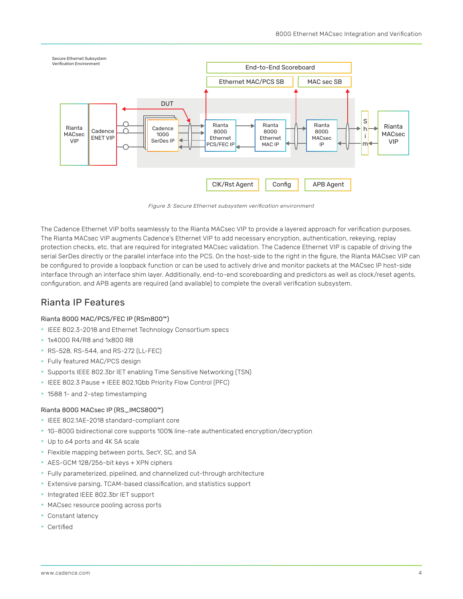<span id="page-3-0"></span>

*Figure 3: Secure Ethernet subsystem verification environment*

The Cadence Ethernet VIP bolts seamlessly to the Rianta MACsec VIP to provide a layered approach for verification purposes. The Rianta MACsec VIP augments Cadence's Ethernet VIP to add necessary encryption, authentication, rekeying, replay protection checks, etc. that are required for integrated MACsec validation. The Cadence Ethernet VIP is capable of driving the serial SerDes directly or the parallel interface into the PCS. On the host-side to the right in the figure, the Rianta MACsec VIP can be configured to provide a loopback function or can be used to actively drive and monitor packets at the MACsec IP host-side interface through an interface shim layer. Additionally, end-to-end scoreboarding and predictors as well as clock/reset agents, configuration, and APB agents are required (and available) to complete the overall verification subsystem.

## Rianta IP Features

#### Rianta 800G MAC/PCS/FEC IP (RSm800™)

- EEE 802.3-2018 and Ethernet Technology Consortium specs
- **\* 1x400G R4/R8 and 1x800 R8**
- ▶ RS-528, RS-544, and RS-272 (LL-FEC)
- Fully featured MAC/PCS design
- ▶ Supports IEEE 802.3br IET enabling Time Sensitive Networking (TSN)
- ▶ IEEE 802.3 Pause + IEEE 802.1Qbb Priority Flow Control (PFC)
- ▶ 1588 1- and 2-step timestamping

#### Rianta 800G MACsec IP (RS\_IMCS800™)

- ▶ IEEE 802.1AE-2018 standard-compliant core
- $\triangleright$  1G-800G bidirectional core supports 100% line-rate authenticated encryption/decryption
- ▶ Up to 64 ports and 4K SA scale
- Flexible mapping between ports, SecY, SC, and SA
- $\triangleright$  AES-GCM 128/256-bit keys + XPN ciphers
- Fully parameterized, pipelined, and channelized cut-through architecture
- $\blacktriangleright$  Extensive parsing, TCAM-based classification, and statistics support
- **h** Integrated IEEE 802.3br IET support
- **MACsec resource pooling across ports**
- Constant latency
- $\triangleright$  Certified